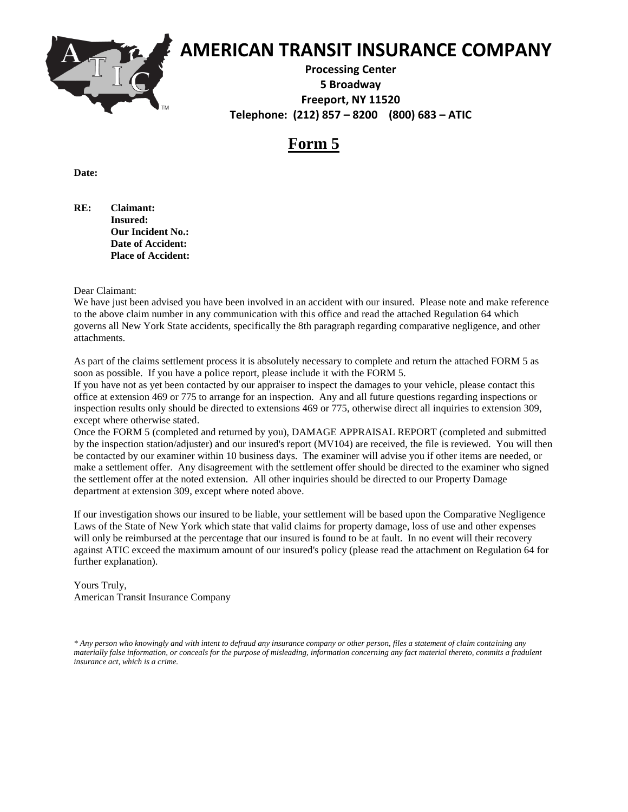

### **Form 5**

**Date:** 

**RE: Claimant: Insured: Our Incident No.: Date of Accident: Place of Accident:**

#### Dear Claimant:

We have just been advised you have been involved in an accident with our insured. Please note and make reference to the above claim number in any communication with this office and read the attached Regulation 64 which governs all New York State accidents, specifically the 8th paragraph regarding comparative negligence, and other attachments.

As part of the claims settlement process it is absolutely necessary to complete and return the attached FORM 5 as soon as possible. If you have a police report, please include it with the FORM 5.

If you have not as yet been contacted by our appraiser to inspect the damages to your vehicle, please contact this office at extension 469 or 775 to arrange for an inspection. Any and all future questions regarding inspections or inspection results only should be directed to extensions 469 or 775, otherwise direct all inquiries to extension 309, except where otherwise stated.

Once the FORM 5 (completed and returned by you), DAMAGE APPRAISAL REPORT (completed and submitted by the inspection station/adjuster) and our insured's report (MV104) are received, the file is reviewed. You will then be contacted by our examiner within 10 business days. The examiner will advise you if other items are needed, or make a settlement offer. Any disagreement with the settlement offer should be directed to the examiner who signed the settlement offer at the noted extension. All other inquiries should be directed to our Property Damage department at extension 309, except where noted above.

If our investigation shows our insured to be liable, your settlement will be based upon the Comparative Negligence Laws of the State of New York which state that valid claims for property damage, loss of use and other expenses will only be reimbursed at the percentage that our insured is found to be at fault. In no event will their recovery against ATIC exceed the maximum amount of our insured's policy (please read the attachment on Regulation 64 for further explanation).

Yours Truly, American Transit Insurance Company

*\* Any person who knowingly and with intent to defraud any insurance company or other person, files a statement of claim containing any materially false information, or conceals for the purpose of misleading, information concerning any fact material thereto, commits a fradulent insurance act, which is a crime.*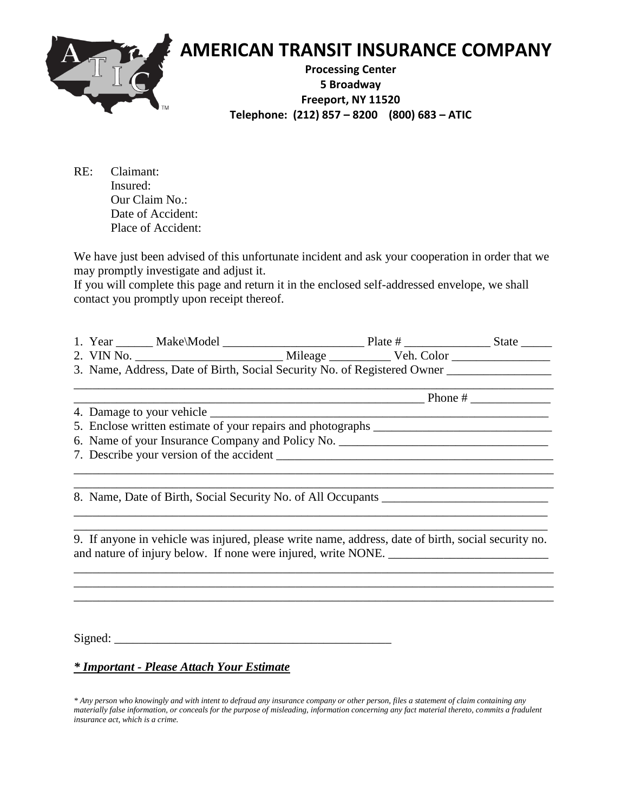

| RE: . | Claimant:          |
|-------|--------------------|
|       | Insured:           |
|       | Our Claim No.:     |
|       | Date of Accident:  |
|       | Place of Accident: |

We have just been advised of this unfortunate incident and ask your cooperation in order that we may promptly investigate and adjust it.

If you will complete this page and return it in the enclosed self-addressed envelope, we shall contact you promptly upon receipt thereof.

| 1. Year    | Make\Model                                                               |         | Plate #    | State |
|------------|--------------------------------------------------------------------------|---------|------------|-------|
| 2. VIN No. |                                                                          | Mileage | Veh. Color |       |
|            | 3. Name, Address, Date of Birth, Social Security No. of Registered Owner |         |            |       |

\_\_\_\_\_\_\_\_\_\_\_\_\_\_\_\_\_\_\_\_\_\_\_\_\_\_\_\_\_\_\_\_\_\_\_\_\_\_\_\_\_\_\_\_\_\_\_\_\_\_\_\_\_\_\_\_\_\_\_\_\_\_\_\_\_\_\_\_\_\_\_\_\_\_\_\_\_\_

\_\_\_\_\_\_\_\_\_\_\_\_\_\_\_\_\_\_\_\_\_\_\_\_\_\_\_\_\_\_\_\_\_\_\_\_\_\_\_\_\_\_\_\_\_\_\_\_\_\_\_\_\_\_\_\_\_ Phone # \_\_\_\_\_\_\_\_\_\_\_\_\_ 4. Damage to your vehicle \_\_\_\_\_\_\_\_\_\_\_\_\_\_\_\_\_\_\_\_\_\_\_\_\_\_\_\_\_\_\_\_\_\_\_\_\_\_\_\_\_\_\_\_\_\_\_\_\_\_\_\_\_\_\_ 5. Enclose written estimate of your repairs and photographs \_\_\_\_\_\_\_\_\_\_\_\_\_\_\_\_\_\_\_\_\_ 6. Name of your Insurance Company and Policy No. \_\_\_\_\_\_\_\_\_\_\_\_\_\_\_\_\_\_\_\_\_\_\_\_\_\_\_\_\_\_\_\_ 7. Describe your version of the accident \_\_\_\_\_\_\_\_\_\_\_\_\_\_\_\_\_\_\_\_\_\_\_\_\_\_\_\_\_\_\_\_\_\_\_\_\_\_\_\_\_\_\_\_\_

\_\_\_\_\_\_\_\_\_\_\_\_\_\_\_\_\_\_\_\_\_\_\_\_\_\_\_\_\_\_\_\_\_\_\_\_\_\_\_\_\_\_\_\_\_\_\_\_\_\_\_\_\_\_\_\_\_\_\_\_\_\_\_\_\_\_\_\_\_\_\_\_\_\_\_\_\_\_ \_\_\_\_\_\_\_\_\_\_\_\_\_\_\_\_\_\_\_\_\_\_\_\_\_\_\_\_\_\_\_\_\_\_\_\_\_\_\_\_\_\_\_\_\_\_\_\_\_\_\_\_\_\_\_\_\_\_\_\_\_\_\_\_\_\_\_\_\_\_\_\_\_\_\_\_\_\_

\_\_\_\_\_\_\_\_\_\_\_\_\_\_\_\_\_\_\_\_\_\_\_\_\_\_\_\_\_\_\_\_\_\_\_\_\_\_\_\_\_\_\_\_\_\_\_\_\_\_\_\_\_\_\_\_\_\_\_\_\_\_\_\_\_\_\_\_\_\_\_\_\_\_\_\_\_

 $\mathcal{L}_\text{max} = \mathcal{L}_\text{max} = \mathcal{L}_\text{max} = \mathcal{L}_\text{max} = \mathcal{L}_\text{max} = \mathcal{L}_\text{max} = \mathcal{L}_\text{max} = \mathcal{L}_\text{max} = \mathcal{L}_\text{max} = \mathcal{L}_\text{max} = \mathcal{L}_\text{max} = \mathcal{L}_\text{max} = \mathcal{L}_\text{max} = \mathcal{L}_\text{max} = \mathcal{L}_\text{max} = \mathcal{L}_\text{max} = \mathcal{L}_\text{max} = \mathcal{L}_\text{max} = \mathcal{$ 

8. Name, Date of Birth, Social Security No. of All Occupants

\_\_\_\_\_\_\_\_\_\_\_\_\_\_\_\_\_\_\_\_\_\_\_\_\_\_\_\_\_\_\_\_\_\_\_\_\_\_\_\_\_\_\_\_\_\_\_\_\_\_\_\_\_\_\_\_\_\_\_\_\_\_\_\_\_\_\_\_\_\_\_\_\_\_\_\_\_ 9. If anyone in vehicle was injured, please write name, address, date of birth, social security no. and nature of injury below. If none were injured, write NONE.

\_\_\_\_\_\_\_\_\_\_\_\_\_\_\_\_\_\_\_\_\_\_\_\_\_\_\_\_\_\_\_\_\_\_\_\_\_\_\_\_\_\_\_\_\_\_\_\_\_\_\_\_\_\_\_\_\_\_\_\_\_\_\_\_\_\_\_\_\_\_\_\_\_\_\_\_\_\_ \_\_\_\_\_\_\_\_\_\_\_\_\_\_\_\_\_\_\_\_\_\_\_\_\_\_\_\_\_\_\_\_\_\_\_\_\_\_\_\_\_\_\_\_\_\_\_\_\_\_\_\_\_\_\_\_\_\_\_\_\_\_\_\_\_\_\_\_\_\_\_\_\_\_\_\_\_\_

 $Signed:$ 

#### *\* Important - Please Attach Your Estimate*

*\* Any person who knowingly and with intent to defraud any insurance company or other person, files a statement of claim containing any materially false information, or conceals for the purpose of misleading, information concerning any fact material thereto, commits a fradulent insurance act, which is a crime.*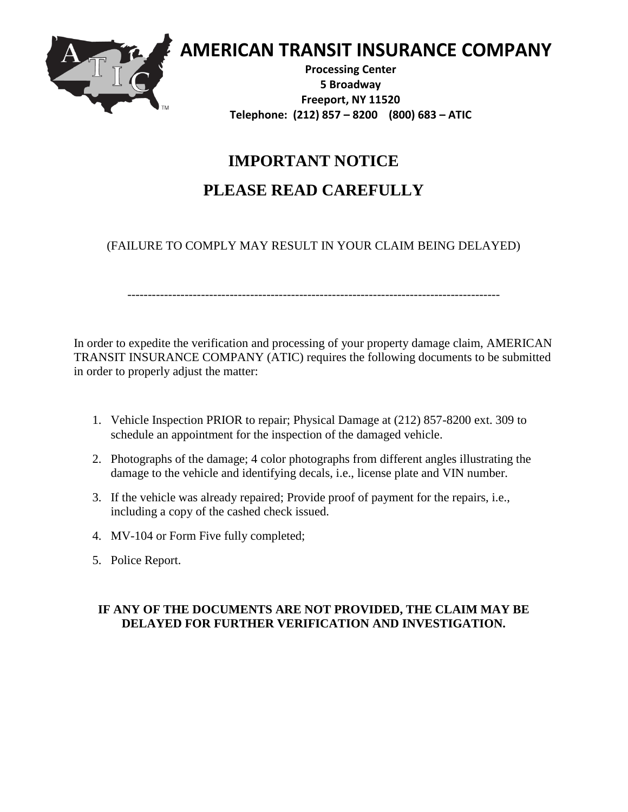

 **AMERICAN TRANSIT INSURANCE COMPANY**

**Processing Center 5 Broadway Freeport, NY 11520 Telephone: (212) 857 – 8200 (800) 683 – ATIC**

### **IMPORTANT NOTICE**

### **PLEASE READ CAREFULLY**

(FAILURE TO COMPLY MAY RESULT IN YOUR CLAIM BEING DELAYED)

-------------------------------------------------------------------------------------------

In order to expedite the verification and processing of your property damage claim, AMERICAN TRANSIT INSURANCE COMPANY (ATIC) requires the following documents to be submitted in order to properly adjust the matter:

- 1. Vehicle Inspection PRIOR to repair; Physical Damage at (212) 857-8200 ext. 309 to schedule an appointment for the inspection of the damaged vehicle.
- 2. Photographs of the damage; 4 color photographs from different angles illustrating the damage to the vehicle and identifying decals, i.e., license plate and VIN number.
- 3. If the vehicle was already repaired; Provide proof of payment for the repairs, i.e., including a copy of the cashed check issued.
- 4. MV-104 or Form Five fully completed;
- 5. Police Report.

### **IF ANY OF THE DOCUMENTS ARE NOT PROVIDED, THE CLAIM MAY BE DELAYED FOR FURTHER VERIFICATION AND INVESTIGATION.**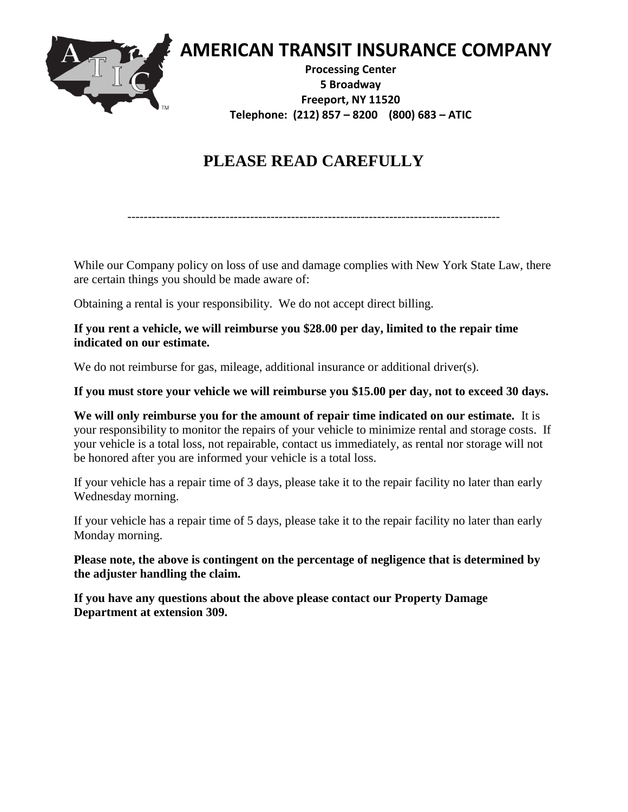

## **PLEASE READ CAREFULLY**

```
-------------------------------------------------------------------------------------------
```
While our Company policy on loss of use and damage complies with New York State Law, there are certain things you should be made aware of:

Obtaining a rental is your responsibility. We do not accept direct billing.

#### **If you rent a vehicle, we will reimburse you \$28.00 per day, limited to the repair time indicated on our estimate.**

We do not reimburse for gas, mileage, additional insurance or additional driver(s).

#### **If you must store your vehicle we will reimburse you \$15.00 per day, not to exceed 30 days.**

**We will only reimburse you for the amount of repair time indicated on our estimate.** It is your responsibility to monitor the repairs of your vehicle to minimize rental and storage costs. If your vehicle is a total loss, not repairable, contact us immediately, as rental nor storage will not be honored after you are informed your vehicle is a total loss.

If your vehicle has a repair time of 3 days, please take it to the repair facility no later than early Wednesday morning.

If your vehicle has a repair time of 5 days, please take it to the repair facility no later than early Monday morning.

**Please note, the above is contingent on the percentage of negligence that is determined by the adjuster handling the claim.**

**If you have any questions about the above please contact our Property Damage Department at extension 309.**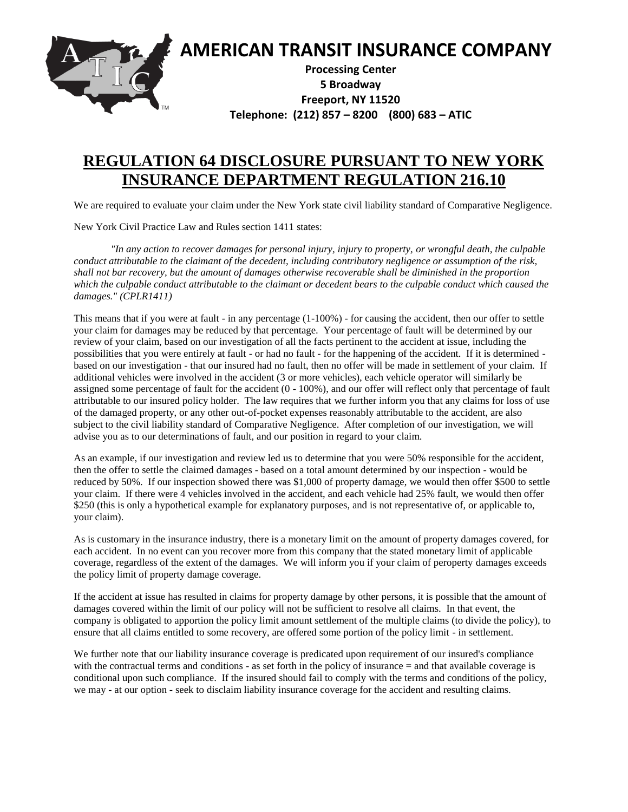

### **REGULATION 64 DISCLOSURE PURSUANT TO NEW YORK INSURANCE DEPARTMENT REGULATION 216.10**

We are required to evaluate your claim under the New York state civil liability standard of Comparative Negligence.

New York Civil Practice Law and Rules section 1411 states:

*"In any action to recover damages for personal injury, injury to property, or wrongful death, the culpable conduct attributable to the claimant of the decedent, including contributory negligence or assumption of the risk, shall not bar recovery, but the amount of damages otherwise recoverable shall be diminished in the proportion which the culpable conduct attributable to the claimant or decedent bears to the culpable conduct which caused the damages." (CPLR1411)*

This means that if you were at fault - in any percentage (1-100%) - for causing the accident, then our offer to settle your claim for damages may be reduced by that percentage. Your percentage of fault will be determined by our review of your claim, based on our investigation of all the facts pertinent to the accident at issue, including the possibilities that you were entirely at fault - or had no fault - for the happening of the accident. If it is determined based on our investigation - that our insured had no fault, then no offer will be made in settlement of your claim. If additional vehicles were involved in the accident (3 or more vehicles), each vehicle operator will similarly be assigned some percentage of fault for the accident (0 - 100%), and our offer will reflect only that percentage of fault attributable to our insured policy holder. The law requires that we further inform you that any claims for loss of use of the damaged property, or any other out-of-pocket expenses reasonably attributable to the accident, are also subject to the civil liability standard of Comparative Negligence. After completion of our investigation, we will advise you as to our determinations of fault, and our position in regard to your claim.

As an example, if our investigation and review led us to determine that you were 50% responsible for the accident, then the offer to settle the claimed damages - based on a total amount determined by our inspection - would be reduced by 50%. If our inspection showed there was \$1,000 of property damage, we would then offer \$500 to settle your claim. If there were 4 vehicles involved in the accident, and each vehicle had 25% fault, we would then offer \$250 (this is only a hypothetical example for explanatory purposes, and is not representative of, or applicable to, your claim).

As is customary in the insurance industry, there is a monetary limit on the amount of property damages covered, for each accident. In no event can you recover more from this company that the stated monetary limit of applicable coverage, regardless of the extent of the damages. We will inform you if your claim of peroperty damages exceeds the policy limit of property damage coverage.

If the accident at issue has resulted in claims for property damage by other persons, it is possible that the amount of damages covered within the limit of our policy will not be sufficient to resolve all claims. In that event, the company is obligated to apportion the policy limit amount settlement of the multiple claims (to divide the policy), to ensure that all claims entitled to some recovery, are offered some portion of the policy limit - in settlement.

We further note that our liability insurance coverage is predicated upon requirement of our insured's compliance with the contractual terms and conditions - as set forth in the policy of insurance = and that available coverage is conditional upon such compliance. If the insured should fail to comply with the terms and conditions of the policy, we may - at our option - seek to disclaim liability insurance coverage for the accident and resulting claims.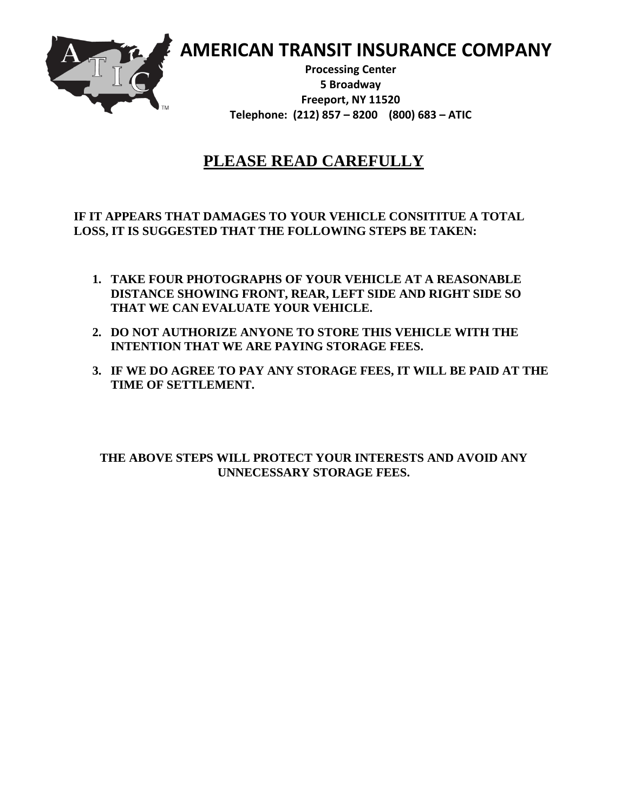

 **AMERICAN TRANSIT INSURANCE COMPANY**

**Processing Center 5 Broadway Freeport, NY 11520 Telephone: (212) 857 – 8200 (800) 683 – ATIC**

### **PLEASE READ CAREFULLY**

**IF IT APPEARS THAT DAMAGES TO YOUR VEHICLE CONSITITUE A TOTAL LOSS, IT IS SUGGESTED THAT THE FOLLOWING STEPS BE TAKEN:**

- **1. TAKE FOUR PHOTOGRAPHS OF YOUR VEHICLE AT A REASONABLE DISTANCE SHOWING FRONT, REAR, LEFT SIDE AND RIGHT SIDE SO THAT WE CAN EVALUATE YOUR VEHICLE.**
- **2. DO NOT AUTHORIZE ANYONE TO STORE THIS VEHICLE WITH THE INTENTION THAT WE ARE PAYING STORAGE FEES.**
- **3. IF WE DO AGREE TO PAY ANY STORAGE FEES, IT WILL BE PAID AT THE TIME OF SETTLEMENT.**

**THE ABOVE STEPS WILL PROTECT YOUR INTERESTS AND AVOID ANY UNNECESSARY STORAGE FEES.**